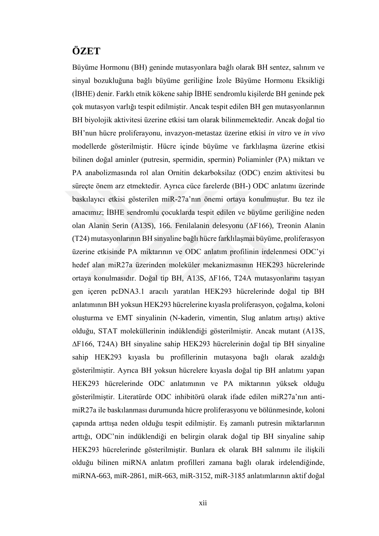## **ÖZET**

Büyüme Hormonu (BH) geninde mutasyonlara bağlı olarak BH sentez, salınım ve sinyal bozukluğuna bağlı büyüme geriliğine İzole Büyüme Hormonu Eksikliği (İBHE) denir. Farklı etnik kökene sahip İBHE sendromlu kişilerde BH geninde pek çok mutasyon varlığı tespit edilmiştir. Ancak tespit edilen BH gen mutasyonlarının BH biyolojik aktivitesi üzerine etkisi tam olarak bilinmemektedir. Ancak doğal tio BH'nun hücre proliferayonu, invazyon-metastaz üzerine etkisi *in vitro* ve *in vivo* modellerde gösterilmiştir. Hücre içinde büyüme ve farklılaşma üzerine etkisi bilinen doğal aminler (putresin, spermidin, spermin) Poliaminler (PA) miktarı ve PA anabolizmasında rol alan Ornitin dekarboksilaz (ODC) enzim aktivitesi bu süreçte önem arz etmektedir. Ayrıca cüce farelerde (BH-) ODC anlatımı üzerinde baskılayıcı etkisi gösterilen miR-27a'nın önemi ortaya konulmuştur. Bu tez ile amacımız; İBHE sendromlu çocuklarda tespit edilen ve büyüme geriliğine neden olan Alanin Serin (A13S), 166. Fenilalanin delesyonu (∆F166), Treonin Alanin (T24) mutasyonlarının BH sinyaline bağlı hücre farklılaşmai büyüme, proliferasyon üzerine etkisinde PA miktarının ve ODC anlatım profilinin irdelenmesi ODC'yi hedef alan miR27a üzerinden moleküler mekanizmasının HEK293 hücrelerinde ortaya konulmasıdır. Doğal tip BH, A13S, ∆F166, T24A mutasyonlarını taşıyan gen içeren pcDNA3.1 aracılı yaratılan HEK293 hücrelerinde doğal tip BH anlatımının BH yoksun HEK293 hücrelerine kıyasla proliferasyon, çoğalma, koloni oluşturma ve EMT sinyalinin (N-kaderin, vimentin, Slug anlatım artışı) aktive olduğu, STAT moleküllerinin indüklendiği gösterilmiştir. Ancak mutant (A13S, ∆F166, T24A) BH sinyaline sahip HEK293 hücrelerinin doğal tip BH sinyaline sahip HEK293 kıyasla bu profillerinin mutasyona bağlı olarak azaldığı gösterilmiştir. Ayrıca BH yoksun hücrelere kıyasla doğal tip BH anlatımı yapan HEK293 hücrelerinde ODC anlatımının ve PA miktarının yüksek olduğu gösterilmiştir. Literatürde ODC inhibitörü olarak ifade edilen miR27a'nın antimiR27a ile baskılanması durumunda hücre proliferasyonu ve bölünmesinde, koloni çapında arttışa neden olduğu tespit edilmiştir. Eş zamanlı putresin miktarlarının arttığı, ODC'nin indüklendiği en belirgin olarak doğal tip BH sinyaline sahip HEK293 hücrelerinde gösterilmiştir. Bunlara ek olarak BH salınımı ile ilişkili olduğu bilinen miRNA anlatım profilleri zamana bağlı olarak irdelendiğinde, miRNA-663, miR-2861, miR-663, miR-3152, miR-3185 anlatımlarının aktif doğal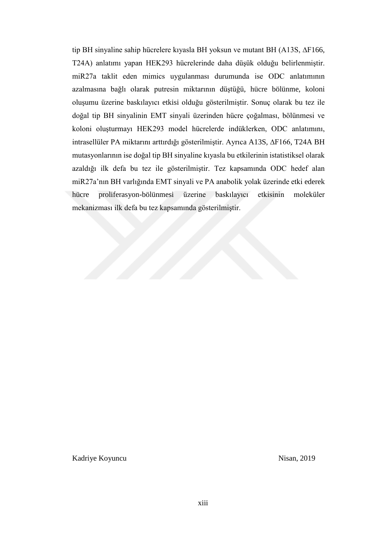tip BH sinyaline sahip hücrelere kıyasla BH yoksun ve mutant BH (A13S, ∆F166, T24A) anlatımı yapan HEK293 hücrelerinde daha düşük olduğu belirlenmiştir. miR27a taklit eden mimics uygulanması durumunda ise ODC anlatımının azalmasına bağlı olarak putresin miktarının düştüğü, hücre bölünme, koloni oluşumu üzerine baskılayıcı etkisi olduğu gösterilmiştir. Sonuç olarak bu tez ile doğal tip BH sinyalinin EMT sinyali üzerinden hücre çoğalması, bölünmesi ve koloni oluşturmayı HEK293 model hücrelerde indüklerken, ODC anlatımını, intrasellüler PA miktarını arttırdığı gösterilmiştir. Ayrıca A13S, ∆F166, T24A BH mutasyonlarının ise doğal tip BH sinyaline kıyasla bu etkilerinin istatistiksel olarak azaldığı ilk defa bu tez ile gösterilmiştir. Tez kapsamında ODC hedef alan miR27a'nın BH varlığında EMT sinyali ve PA anabolik yolak üzerinde etki ederek hücre proliferasyon-bölünmesi üzerine baskılayıcı etkisinin moleküler mekanizması ilk defa bu tez kapsamında gösterilmiştir.

Kadriye Koyuncu Nisan, 2019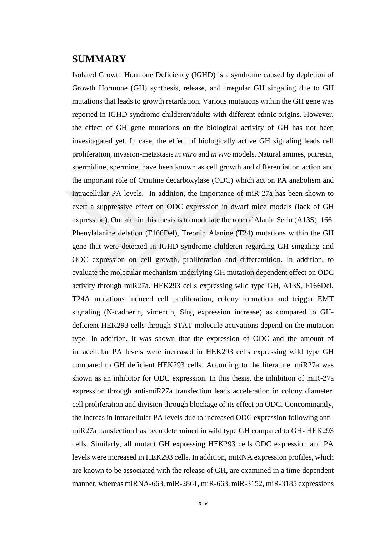## **SUMMARY**

Isolated Growth Hormone Deficiency (IGHD) is a syndrome caused by depletion of Growth Hormone (GH) synthesis, release, and irregular GH singaling due to GH mutations that leads to growth retardation. Various mutations within the GH gene was reported in IGHD syndrome childeren/adults with different ethnic origins. However, the effect of GH gene mutations on the biological activity of GH has not been invesitagated yet. In case, the effect of biologically active GH signaling leads cell proliferation, invasion-metastasis *in vitro* and *in vivo* models. Natural amines, putresin, spermidine, spermine, have been known as cell growth and differentiation action and the important role of Ornitine decarboxylase (ODC) which act on PA anabolism and intracellular PA levels. In addition, the importance of miR-27a has been shown to exert a suppressive effect on ODC expression in dwarf mice models (lack of GH expression). Our aim in this thesis is to modulate the role of Alanin Serin (A13S), 166. Phenylalanine deletion (F166Del), Treonin Alanine (T24) mutations within the GH gene that were detected in IGHD syndrome childeren regarding GH singaling and ODC expression on cell growth, proliferation and differentition. In addition, to evaluate the molecular mechanism underlying GH mutation dependent effect on ODC activity through miR27a. HEK293 cells expressing wild type GH, A13S, F166Del, T24A mutations induced cell proliferation, colony formation and trigger EMT signaling (N-cadherin, vimentin, Slug expression increase) as compared to GHdeficient HEK293 cells through STAT molecule activations depend on the mutation type. In addition, it was shown that the expression of ODC and the amount of intracellular PA levels were increased in HEK293 cells expressing wild type GH compared to GH deficient HEK293 cells. According to the literature, miR27a was shown as an inhibitor for ODC expression. In this thesis, the inhibition of miR-27a expression through anti-miR27a transfection leads acceleration in colony diameter, cell proliferation and division through blockage of its effect on ODC. Concominantly, the increas in intracellular PA levels due to increased ODC expression following antimiR27a transfection has been determined in wild type GH compared to GH- HEK293 cells. Similarly, all mutant GH expressing HEK293 cells ODC expression and PA levels were increased in HEK293 cells. In addition, miRNA expression profiles, which are known to be associated with the release of GH, are examined in a time-dependent manner, whereas miRNA-663, miR-2861, miR-663, miR-3152, miR-3185 expressions